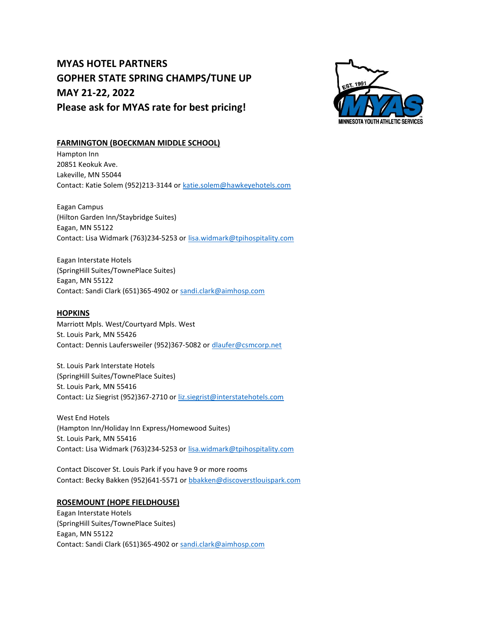# MYAS HOTEL PARTNERS GOPHER STATE SPRING CHAMPS/TUNE UP MAY 21-22, 2022 Please ask for MYAS rate for best pricing!



### FARMINGTON (BOECKMAN MIDDLE SCHOOL)

Hampton Inn 20851 Keokuk Ave. Lakeville, MN 55044 Contact: Katie Solem (952)213-3144 or katie.solem@hawkeyehotels.com

Eagan Campus (Hilton Garden Inn/Staybridge Suites) Eagan, MN 55122 Contact: Lisa Widmark (763)234-5253 or lisa.widmark@tpihospitality.com

Eagan Interstate Hotels (SpringHill Suites/TownePlace Suites) Eagan, MN 55122 Contact: Sandi Clark (651)365-4902 or sandi.clark@aimhosp.com

### **HOPKINS**

Marriott Mpls. West/Courtyard Mpls. West St. Louis Park, MN 55426 Contact: Dennis Laufersweiler (952)367-5082 or dlaufer@csmcorp.net

St. Louis Park Interstate Hotels (SpringHill Suites/TownePlace Suites) St. Louis Park, MN 55416 Contact: Liz Siegrist (952)367-2710 or liz.siegrist@interstatehotels.com

West End Hotels (Hampton Inn/Holiday Inn Express/Homewood Suites) St. Louis Park, MN 55416 Contact: Lisa Widmark (763)234-5253 or lisa.widmark@tpihospitality.com

Contact Discover St. Louis Park if you have 9 or more rooms Contact: Becky Bakken (952)641-5571 or bbakken@discoverstlouispark.com

## ROSEMOUNT (HOPE FIELDHOUSE)

Eagan Interstate Hotels (SpringHill Suites/TownePlace Suites) Eagan, MN 55122 Contact: Sandi Clark (651)365-4902 or sandi.clark@aimhosp.com